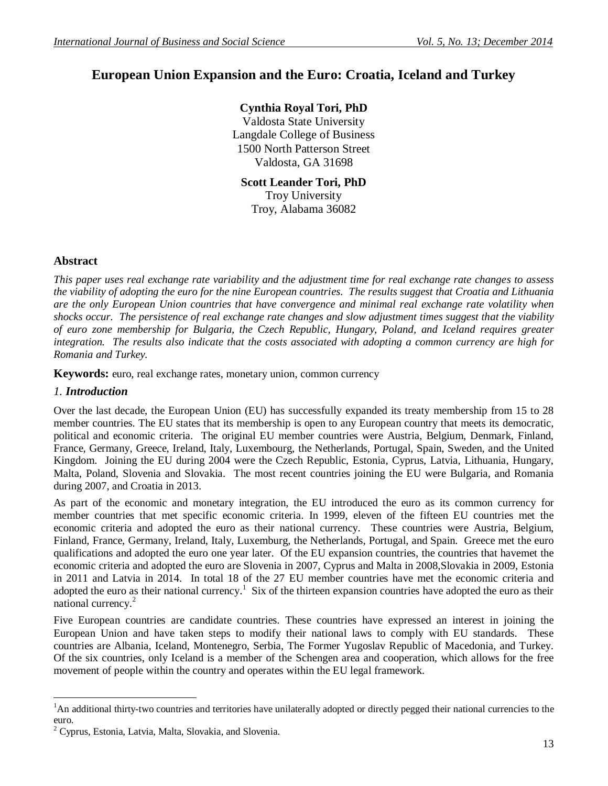# **European Union Expansion and the Euro: Croatia, Iceland and Turkey**

## **Cynthia Royal Tori, PhD**

Valdosta State University Langdale College of Business 1500 North Patterson Street Valdosta, GA 31698

**Scott Leander Tori, PhD** Troy University Troy, Alabama 36082

#### **Abstract**

*This paper uses real exchange rate variability and the adjustment time for real exchange rate changes to assess the viability of adopting the euro for the nine European countries. The results suggest that Croatia and Lithuania are the only European Union countries that have convergence and minimal real exchange rate volatility when shocks occur. The persistence of real exchange rate changes and slow adjustment times suggest that the viability of euro zone membership for Bulgaria, the Czech Republic, Hungary, Poland, and Iceland requires greater integration. The results also indicate that the costs associated with adopting a common currency are high for Romania and Turkey.*

**Keywords:** euro, real exchange rates, monetary union, common currency

#### *1. Introduction*

 $\overline{a}$ 

Over the last decade, the European Union (EU) has successfully expanded its treaty membership from 15 to 28 member countries. The EU states that its membership is open to any European country that meets its democratic, political and economic criteria. The original EU member countries were Austria, Belgium, Denmark, Finland, France, Germany, Greece, Ireland, Italy, Luxembourg, the Netherlands, Portugal, Spain, Sweden, and the United Kingdom. Joining the EU during 2004 were the Czech Republic, Estonia, Cyprus, Latvia, Lithuania, Hungary, Malta, Poland, Slovenia and Slovakia. The most recent countries joining the EU were Bulgaria, and Romania during 2007, and Croatia in 2013.

As part of the economic and monetary integration, the EU introduced the euro as its common currency for member countries that met specific economic criteria. In 1999, eleven of the fifteen EU countries met the economic criteria and adopted the euro as their national currency. These countries were Austria, Belgium, Finland, France, Germany, Ireland, Italy, Luxemburg, the Netherlands, Portugal, and Spain. Greece met the euro qualifications and adopted the euro one year later. Of the EU expansion countries, the countries that havemet the economic criteria and adopted the euro are Slovenia in 2007, Cyprus and Malta in 2008,Slovakia in 2009, Estonia in 2011 and Latvia in 2014. In total 18 of the 27 EU member countries have met the economic criteria and adopted the euro as their national currency.<sup>1</sup> Six of the thirteen expansion countries have adopted the euro as their national currency.<sup>2</sup>

Five European countries are candidate countries. These countries have expressed an interest in joining the European Union and have taken steps to modify their national laws to comply with EU standards. These countries are Albania, Iceland, Montenegro, Serbia, The Former Yugoslav Republic of Macedonia, and Turkey. Of the six countries, only Iceland is a member of the Schengen area and cooperation, which allows for the free movement of people within the country and operates within the EU legal framework.

<sup>&</sup>lt;sup>1</sup>An additional thirty-two countries and territories have unilaterally adopted or directly pegged their national currencies to the euro.

<sup>2</sup> Cyprus, Estonia, Latvia, Malta, Slovakia, and Slovenia.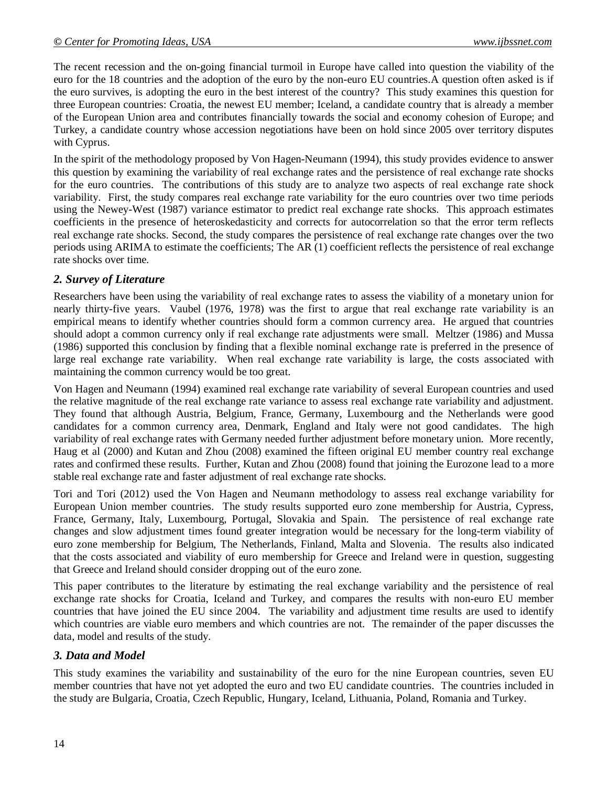The recent recession and the on-going financial turmoil in Europe have called into question the viability of the euro for the 18 countries and the adoption of the euro by the non-euro EU countries.A question often asked is if the euro survives, is adopting the euro in the best interest of the country? This study examines this question for three European countries: Croatia, the newest EU member; Iceland, a candidate country that is already a member of the European Union area and contributes financially towards the social and economy cohesion of Europe; and Turkey, a candidate country whose accession negotiations have been on hold since 2005 over territory disputes with Cyprus.

In the spirit of the methodology proposed by Von Hagen-Neumann (1994), this study provides evidence to answer this question by examining the variability of real exchange rates and the persistence of real exchange rate shocks for the euro countries. The contributions of this study are to analyze two aspects of real exchange rate shock variability. First, the study compares real exchange rate variability for the euro countries over two time periods using the Newey-West (1987) variance estimator to predict real exchange rate shocks. This approach estimates coefficients in the presence of heteroskedasticity and corrects for autocorrelation so that the error term reflects real exchange rate shocks. Second, the study compares the persistence of real exchange rate changes over the two periods using ARIMA to estimate the coefficients; The AR (1) coefficient reflects the persistence of real exchange rate shocks over time.

## *2. Survey of Literature*

Researchers have been using the variability of real exchange rates to assess the viability of a monetary union for nearly thirty-five years. Vaubel (1976, 1978) was the first to argue that real exchange rate variability is an empirical means to identify whether countries should form a common currency area. He argued that countries should adopt a common currency only if real exchange rate adjustments were small. Meltzer (1986) and Mussa (1986) supported this conclusion by finding that a flexible nominal exchange rate is preferred in the presence of large real exchange rate variability. When real exchange rate variability is large, the costs associated with maintaining the common currency would be too great.

Von Hagen and Neumann (1994) examined real exchange rate variability of several European countries and used the relative magnitude of the real exchange rate variance to assess real exchange rate variability and adjustment. They found that although Austria, Belgium, France, Germany, Luxembourg and the Netherlands were good candidates for a common currency area, Denmark, England and Italy were not good candidates. The high variability of real exchange rates with Germany needed further adjustment before monetary union. More recently, Haug et al (2000) and Kutan and Zhou (2008) examined the fifteen original EU member country real exchange rates and confirmed these results. Further, Kutan and Zhou (2008) found that joining the Eurozone lead to a more stable real exchange rate and faster adjustment of real exchange rate shocks.

Tori and Tori (2012) used the Von Hagen and Neumann methodology to assess real exchange variability for European Union member countries. The study results supported euro zone membership for Austria, Cypress, France, Germany, Italy, Luxembourg, Portugal, Slovakia and Spain. The persistence of real exchange rate changes and slow adjustment times found greater integration would be necessary for the long-term viability of euro zone membership for Belgium, The Netherlands, Finland, Malta and Slovenia. The results also indicated that the costs associated and viability of euro membership for Greece and Ireland were in question, suggesting that Greece and Ireland should consider dropping out of the euro zone.

This paper contributes to the literature by estimating the real exchange variability and the persistence of real exchange rate shocks for Croatia, Iceland and Turkey, and compares the results with non-euro EU member countries that have joined the EU since 2004. The variability and adjustment time results are used to identify which countries are viable euro members and which countries are not. The remainder of the paper discusses the data, model and results of the study.

## *3. Data and Model*

This study examines the variability and sustainability of the euro for the nine European countries, seven EU member countries that have not yet adopted the euro and two EU candidate countries. The countries included in the study are Bulgaria, Croatia, Czech Republic, Hungary, Iceland, Lithuania, Poland, Romania and Turkey.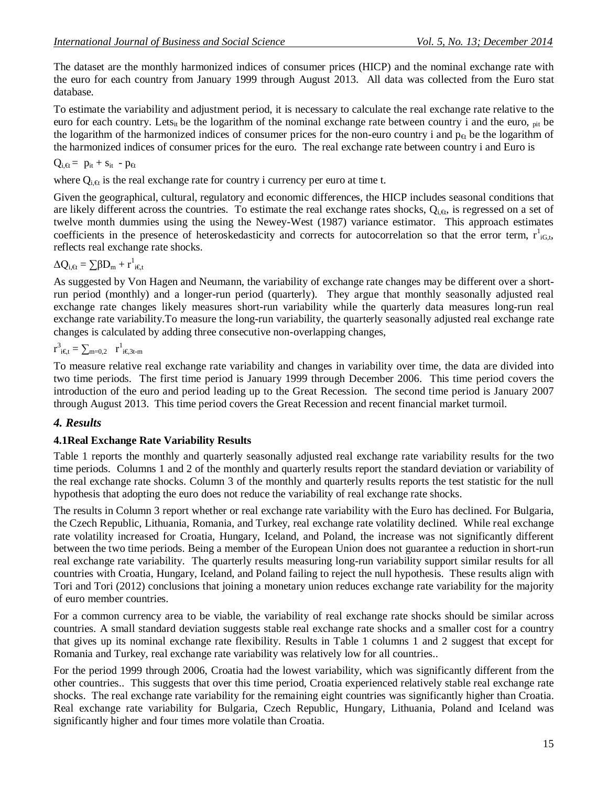The dataset are the monthly harmonized indices of consumer prices (HICP) and the nominal exchange rate with the euro for each country from January 1999 through August 2013. All data was collected from the Euro stat database.

To estimate the variability and adjustment period, it is necessary to calculate the real exchange rate relative to the euro for each country. Lets<sub>it</sub> be the logarithm of the nominal exchange rate between country i and the euro,  $_{pit}$  be the logarithm of the harmonized indices of consumer prices for the non-euro country i and  $p_{\theta}$  be the logarithm of the harmonized indices of consumer prices for the euro. The real exchange rate between country i and Euro is

$$
Q_{i,\text{f}} = p_{it} + s_{it} - p_{\text{f}}
$$

where  $Q_{i,\theta}$  is the real exchange rate for country i currency per euro at time t.

Given the geographical, cultural, regulatory and economic differences, the HICP includes seasonal conditions that are likely different across the countries. To estimate the real exchange rates shocks,  $Q_{i,d}$ , is regressed on a set of twelve month dummies using the using the Newey-West (1987) variance estimator. This approach estimates coefficients in the presence of heteroskedasticity and corrects for autocorrelation so that the error term,  $r^1_{iG,t}$ , reflects real exchange rate shocks.

$$
\Delta Q_{i,\text{f}} = \sum \beta D_m + r^1_{i \in t}
$$

As suggested by Von Hagen and Neumann, the variability of exchange rate changes may be different over a shortrun period (monthly) and a longer-run period (quarterly). They argue that monthly seasonally adjusted real exchange rate changes likely measures short-run variability while the quarterly data measures long-run real exchange rate variability.To measure the long-run variability, the quarterly seasonally adjusted real exchange rate changes is calculated by adding three consecutive non-overlapping changes,

 $r^{3}{}_{i \in \text{t}} = \sum_{m=0,2} r^{1}{}_{i \in \text{3t-m}}$ 

To measure relative real exchange rate variability and changes in variability over time, the data are divided into two time periods. The first time period is January 1999 through December 2006. This time period covers the introduction of the euro and period leading up to the Great Recession. The second time period is January 2007 through August 2013. This time period covers the Great Recession and recent financial market turmoil.

## *4. Results*

#### **4.1Real Exchange Rate Variability Results**

Table 1 reports the monthly and quarterly seasonally adjusted real exchange rate variability results for the two time periods. Columns 1 and 2 of the monthly and quarterly results report the standard deviation or variability of the real exchange rate shocks. Column 3 of the monthly and quarterly results reports the test statistic for the null hypothesis that adopting the euro does not reduce the variability of real exchange rate shocks.

The results in Column 3 report whether or real exchange rate variability with the Euro has declined. For Bulgaria, the Czech Republic, Lithuania, Romania, and Turkey, real exchange rate volatility declined. While real exchange rate volatility increased for Croatia, Hungary, Iceland, and Poland, the increase was not significantly different between the two time periods. Being a member of the European Union does not guarantee a reduction in short-run real exchange rate variability. The quarterly results measuring long-run variability support similar results for all countries with Croatia, Hungary, Iceland, and Poland failing to reject the null hypothesis. These results align with Tori and Tori (2012) conclusions that joining a monetary union reduces exchange rate variability for the majority of euro member countries.

For a common currency area to be viable, the variability of real exchange rate shocks should be similar across countries. A small standard deviation suggests stable real exchange rate shocks and a smaller cost for a country that gives up its nominal exchange rate flexibility. Results in Table 1 columns 1 and 2 suggest that except for Romania and Turkey, real exchange rate variability was relatively low for all countries..

For the period 1999 through 2006, Croatia had the lowest variability, which was significantly different from the other countries.. This suggests that over this time period, Croatia experienced relatively stable real exchange rate shocks. The real exchange rate variability for the remaining eight countries was significantly higher than Croatia. Real exchange rate variability for Bulgaria, Czech Republic, Hungary, Lithuania, Poland and Iceland was significantly higher and four times more volatile than Croatia.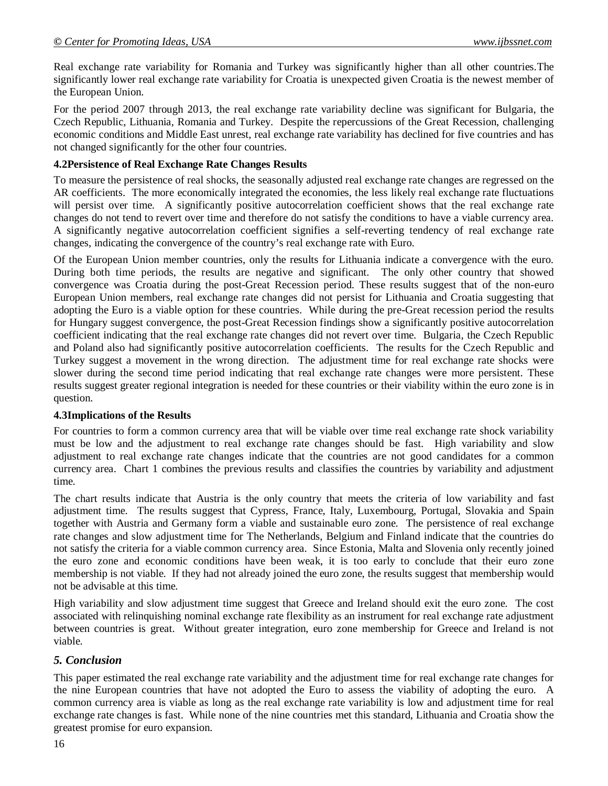Real exchange rate variability for Romania and Turkey was significantly higher than all other countries.The significantly lower real exchange rate variability for Croatia is unexpected given Croatia is the newest member of the European Union.

For the period 2007 through 2013, the real exchange rate variability decline was significant for Bulgaria, the Czech Republic, Lithuania, Romania and Turkey. Despite the repercussions of the Great Recession, challenging economic conditions and Middle East unrest, real exchange rate variability has declined for five countries and has not changed significantly for the other four countries.

#### **4.2Persistence of Real Exchange Rate Changes Results**

To measure the persistence of real shocks, the seasonally adjusted real exchange rate changes are regressed on the AR coefficients. The more economically integrated the economies, the less likely real exchange rate fluctuations will persist over time. A significantly positive autocorrelation coefficient shows that the real exchange rate changes do not tend to revert over time and therefore do not satisfy the conditions to have a viable currency area. A significantly negative autocorrelation coefficient signifies a self-reverting tendency of real exchange rate changes, indicating the convergence of the country's real exchange rate with Euro.

Of the European Union member countries, only the results for Lithuania indicate a convergence with the euro. During both time periods, the results are negative and significant. The only other country that showed convergence was Croatia during the post-Great Recession period. These results suggest that of the non-euro European Union members, real exchange rate changes did not persist for Lithuania and Croatia suggesting that adopting the Euro is a viable option for these countries. While during the pre-Great recession period the results for Hungary suggest convergence, the post-Great Recession findings show a significantly positive autocorrelation coefficient indicating that the real exchange rate changes did not revert over time. Bulgaria, the Czech Republic and Poland also had significantly positive autocorrelation coefficients. The results for the Czech Republic and Turkey suggest a movement in the wrong direction. The adjustment time for real exchange rate shocks were slower during the second time period indicating that real exchange rate changes were more persistent. These results suggest greater regional integration is needed for these countries or their viability within the euro zone is in question.

#### **4.3Implications of the Results**

For countries to form a common currency area that will be viable over time real exchange rate shock variability must be low and the adjustment to real exchange rate changes should be fast. High variability and slow adjustment to real exchange rate changes indicate that the countries are not good candidates for a common currency area. Chart 1 combines the previous results and classifies the countries by variability and adjustment time.

The chart results indicate that Austria is the only country that meets the criteria of low variability and fast adjustment time. The results suggest that Cypress, France, Italy, Luxembourg, Portugal, Slovakia and Spain together with Austria and Germany form a viable and sustainable euro zone. The persistence of real exchange rate changes and slow adjustment time for The Netherlands, Belgium and Finland indicate that the countries do not satisfy the criteria for a viable common currency area. Since Estonia, Malta and Slovenia only recently joined the euro zone and economic conditions have been weak, it is too early to conclude that their euro zone membership is not viable. If they had not already joined the euro zone, the results suggest that membership would not be advisable at this time.

High variability and slow adjustment time suggest that Greece and Ireland should exit the euro zone. The cost associated with relinquishing nominal exchange rate flexibility as an instrument for real exchange rate adjustment between countries is great. Without greater integration, euro zone membership for Greece and Ireland is not viable.

#### *5. Conclusion*

This paper estimated the real exchange rate variability and the adjustment time for real exchange rate changes for the nine European countries that have not adopted the Euro to assess the viability of adopting the euro. A common currency area is viable as long as the real exchange rate variability is low and adjustment time for real exchange rate changes is fast. While none of the nine countries met this standard, Lithuania and Croatia show the greatest promise for euro expansion.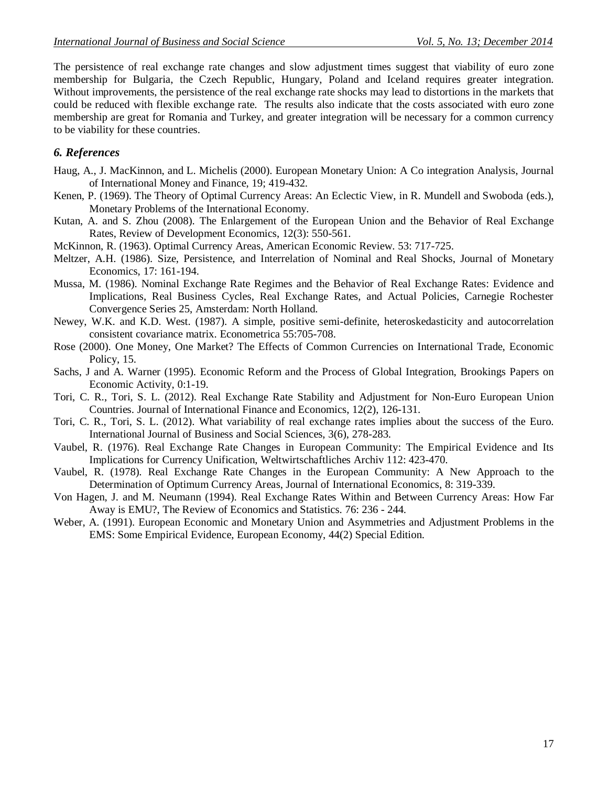The persistence of real exchange rate changes and slow adjustment times suggest that viability of euro zone membership for Bulgaria, the Czech Republic, Hungary, Poland and Iceland requires greater integration. Without improvements, the persistence of the real exchange rate shocks may lead to distortions in the markets that could be reduced with flexible exchange rate. The results also indicate that the costs associated with euro zone membership are great for Romania and Turkey, and greater integration will be necessary for a common currency to be viability for these countries.

## *6. References*

- Haug, A., J. MacKinnon, and L. Michelis (2000). European Monetary Union: A Co integration Analysis, Journal of International Money and Finance, 19; 419-432.
- Kenen, P. (1969). The Theory of Optimal Currency Areas: An Eclectic View, in R. Mundell and Swoboda (eds.), Monetary Problems of the International Economy.
- Kutan, A. and S. Zhou (2008). The Enlargement of the European Union and the Behavior of Real Exchange Rates, Review of Development Economics, 12(3): 550-561.
- McKinnon, R. (1963). Optimal Currency Areas, American Economic Review. 53: 717-725.
- Meltzer, A.H. (1986). Size, Persistence, and Interrelation of Nominal and Real Shocks, Journal of Monetary Economics, 17: 161-194.
- Mussa, M. (1986). Nominal Exchange Rate Regimes and the Behavior of Real Exchange Rates: Evidence and Implications, Real Business Cycles, Real Exchange Rates, and Actual Policies, Carnegie Rochester Convergence Series 25, Amsterdam: North Holland.
- Newey, W.K. and K.D. West. (1987). A simple, positive semi-definite, heteroskedasticity and autocorrelation consistent covariance matrix. Econometrica 55:705-708.
- Rose (2000). One Money, One Market? The Effects of Common Currencies on International Trade, Economic Policy, 15.
- Sachs, J and A. Warner (1995). Economic Reform and the Process of Global Integration, Brookings Papers on Economic Activity, 0:1-19.
- Tori, C. R., Tori, S. L. (2012). Real Exchange Rate Stability and Adjustment for Non-Euro European Union Countries. Journal of International Finance and Economics, 12(2), 126-131.
- Tori, C. R., Tori, S. L. (2012). What variability of real exchange rates implies about the success of the Euro. International Journal of Business and Social Sciences, 3(6), 278-283.
- Vaubel, R. (1976). Real Exchange Rate Changes in European Community: The Empirical Evidence and Its Implications for Currency Unification, Weltwirtschaftliches Archiv 112: 423-470.
- Vaubel, R. (1978). Real Exchange Rate Changes in the European Community: A New Approach to the Determination of Optimum Currency Areas, Journal of International Economics, 8: 319-339.
- Von Hagen, J. and M. Neumann (1994). Real Exchange Rates Within and Between Currency Areas: How Far Away is EMU?, The Review of Economics and Statistics. 76: 236 - 244.
- Weber, A. (1991). European Economic and Monetary Union and Asymmetries and Adjustment Problems in the EMS: Some Empirical Evidence, European Economy, 44(2) Special Edition.